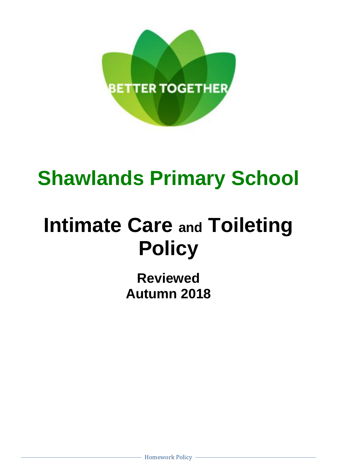

# **Shawlands Primary School**

# **Intimate Care and Toileting Policy**

**Reviewed Autumn 2018**

Homework Policy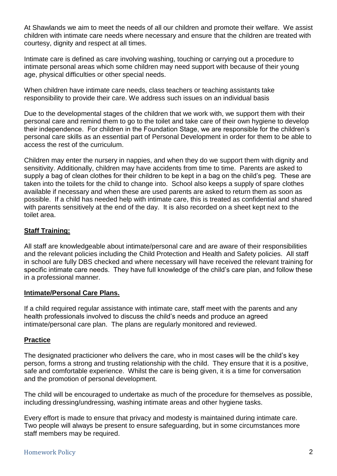At Shawlands we aim to meet the needs of all our children and promote their welfare. We assist children with intimate care needs where necessary and ensure that the children are treated with courtesy, dignity and respect at all times.

Intimate care is defined as care involving washing, touching or carrying out a procedure to intimate personal areas which some children may need support with because of their young age, physical difficulties or other special needs.

When children have intimate care needs, class teachers or teaching assistants take responsibility to provide their care. We address such issues on an individual basis

Due to the developmental stages of the children that we work with, we support them with their personal care and remind them to go to the toilet and take care of their own hygiene to develop their independence. For children in the Foundation Stage, we are responsible for the children's personal care skills as an essential part of Personal Development in order for them to be able to access the rest of the curriculum.

Children may enter the nursery in nappies, and when they do we support them with dignity and sensitivity. Additionally, children may have accidents from time to time. Parents are asked to supply a bag of clean clothes for their children to be kept in a bag on the child's peg. These are taken into the toilets for the child to change into. School also keeps a supply of spare clothes available if necessary and when these are used parents are asked to return them as soon as possible. If a child has needed help with intimate care, this is treated as confidential and shared with parents sensitively at the end of the day. It is also recorded on a sheet kept next to the toilet area.

### **Staff Training:**

All staff are knowledgeable about intimate/personal care and are aware of their responsibilities and the relevant policies including the Child Protection and Health and Safety policies. All staff in school are fully DBS checked and where necessary will have received the relevant training for specific intimate care needs. They have full knowledge of the child's care plan, and follow these in a professional manner.

#### **Intimate/Personal Care Plans.**

If a child required regular assistance with intimate care, staff meet with the parents and any health professionals involved to discuss the child's needs and produce an agreed intimate/personal care plan. The plans are regularly monitored and reviewed.

#### **Practice**

The designated practicioner who delivers the care, who in most cases will be the child's key person, forms a strong and trusting relationship with the child. They ensure that it is a positive, safe and comfortable experience. Whilst the care is being given, it is a time for conversation and the promotion of personal development.

The child will be encouraged to undertake as much of the procedure for themselves as possible, including dressing/undressing, washing intimate areas and other hygiene tasks.

Every effort is made to ensure that privacy and modesty is maintained during intimate care. Two people will always be present to ensure safeguarding, but in some circumstances more staff members may be required.